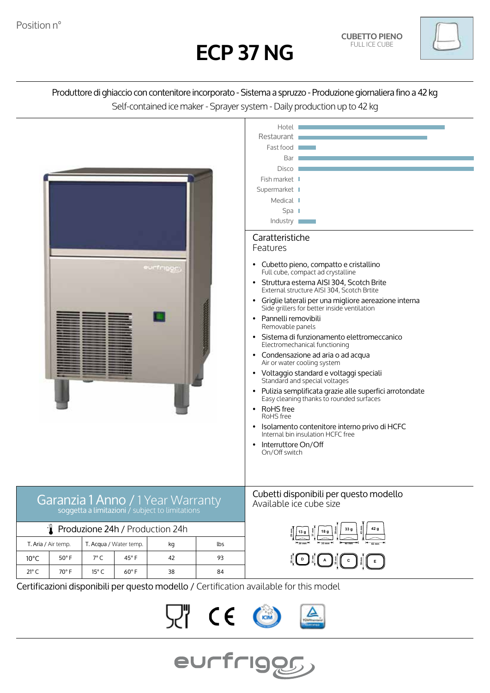



# Produttore di ghiaccio con contenitore incorporato - Sistema a spruzzo - Produzione giornaliera fino a 42 kg Self-contained ice maker - Sprayer system - Daily production up to 42 kg



 $\epsilon$